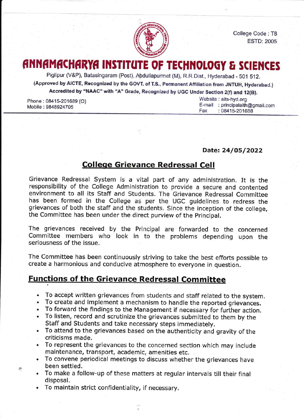

College Code : T8 **ESTD: 2005** 

## FINAMACHARYA INSTITUTE OF TECHNOLOGY & SCIENCES

Piglipur (V&P), Batasingaram (Post), Abdullapurmet (M), R.R.Dist., Hyderabad - 501 512. (Approved by AICTE, Recognized by the GOVT. of T.S., Permanent Affiliation from JNTUH, Hyderabad.) Accredited by "NAAC" with "A" Grade, Recognized by UGC Under Section 2(f) and 12(B).

Phone: 08415-201689 (O) Mobile :9848924705

 $\mathcal{P}^{\mathbf{A}}$ 

Website : aits-hyd.org E-mail : principalaith@gmail.corn Fax :08415-201688

Date: 24/05/2022

## Colleqe Grievance Redressal Cell

Grievance Redressal System is a vital part of any administration. It is the responsibility of the College Administration to provide a secure and contented environment to all its Staff and Students. The Grievance Redressal Committee has been formed in the College as per the UGC guidelines to redress the grievances of both the staff and the students. Since the inception of the college, the Committee has been under the direct purview of the Principal.

The grievances received by the Principal are forwarded to the concerned Committee members who look in to the problems depending upon the seriousness of the issue

The Committee has been continuously striving to take the best efforts possible to create a harmonious and conducive atmosphere to everyone in question.

## Functions of the Grievance Redressal Committee

- . To accept written grievances from students and staff related to the system.
- . To create and implement a mechanism to handle the reported grievances.
- . To forward the findings to the Management if necessary for further action.
- . To listen, record and scrutinize the grievances submitted to them by the Staff and Students and take necessary steps immediately.
- . To attend to the grievances based on the authenticity and gravity of the criticisms made.
- . To represent the grievances to the concerned section which may include maintenance, transport, academic, amenities etc.
- . To convene periodical meetings to discuss whether the grievances have been settled.
- . To make a follow-up of these matters at regular intervals till their final disposal.
- . To maintain strict confidentiality, if necessary.